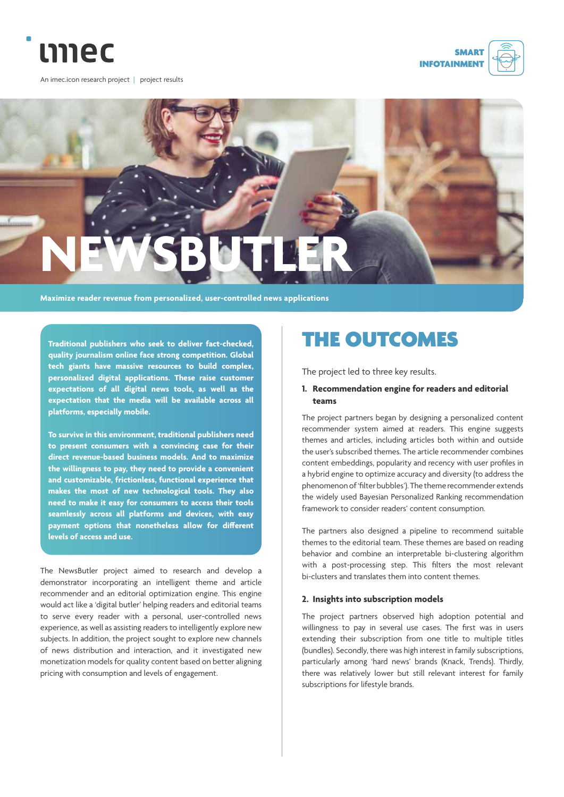

An imec.icon research project | project results





**Maximize reader revenue from personalized, user-controlled news applications**

**Traditional publishers who seek to deliver fact-checked, quality journalism online face strong competition. Global tech giants have massive resources to build complex, personalized digital applications. These raise customer expectations of all digital news tools, as well as the expectation that the media will be available across all platforms, especially mobile.** 

**To survive in this environment, traditional publishers need to present consumers with a convincing case for their direct revenue-based business models. And to maximize the willingness to pay, they need to provide a convenient and customizable, frictionless, functional experience that makes the most of new technological tools. They also need to make it easy for consumers to access their tools seamlessly across all platforms and devices, with easy payment options that nonetheless allow for different levels of access and use.**

The NewsButler project aimed to research and develop a demonstrator incorporating an intelligent theme and article recommender and an editorial optimization engine. This engine would act like a 'digital butler' helping readers and editorial teams to serve every reader with a personal, user-controlled news experience, as well as assisting readers to intelligently explore new subjects. In addition, the project sought to explore new channels of news distribution and interaction, and it investigated new monetization models for quality content based on better aligning pricing with consumption and levels of engagement.

# THE OUTCOMES

The project led to three key results.

#### **1. Recommendation engine for readers and editorial teams**

The project partners began by designing a personalized content recommender system aimed at readers. This engine suggests themes and articles, including articles both within and outside the user's subscribed themes. The article recommender combines content embeddings, popularity and recency with user profiles in a hybrid engine to optimize accuracy and diversity (to address the phenomenon of 'filter bubbles'). The theme recommender extends the widely used Bayesian Personalized Ranking recommendation framework to consider readers' content consumption.

The partners also designed a pipeline to recommend suitable themes to the editorial team. These themes are based on reading behavior and combine an interpretable bi-clustering algorithm with a post-processing step. This filters the most relevant bi-clusters and translates them into content themes.

#### **2. Insights into subscription models**

The project partners observed high adoption potential and willingness to pay in several use cases. The first was in users extending their subscription from one title to multiple titles (bundles). Secondly, there was high interest in family subscriptions, particularly among 'hard news' brands (Knack, Trends). Thirdly, there was relatively lower but still relevant interest for family subscriptions for lifestyle brands.